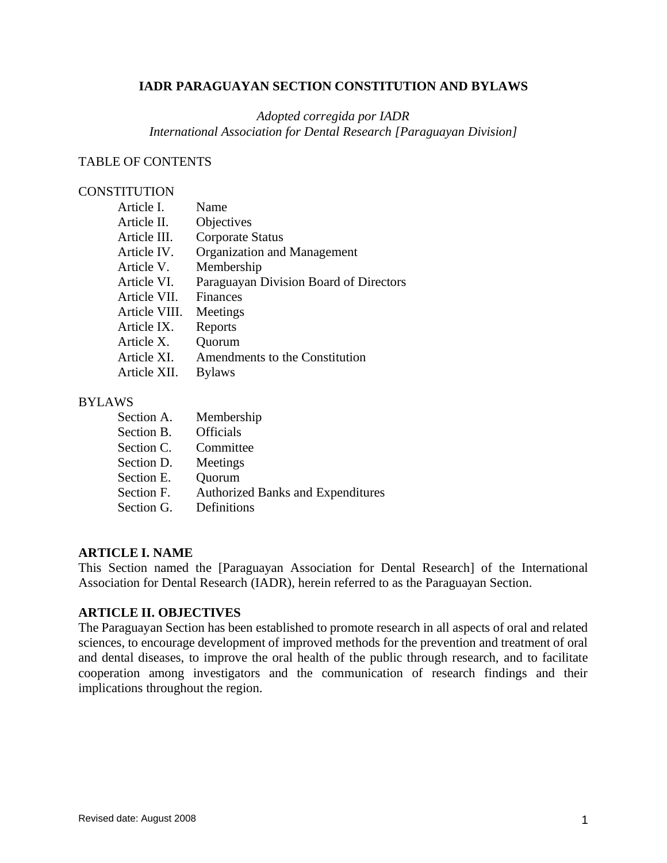### **IADR PARAGUAYAN SECTION CONSTITUTION AND BYLAWS**

### *Adopted corregida por IADR International Association for Dental Research [Paraguayan Division]*

#### TABLE OF CONTENTS

### **CONSTITUTION**

| Article I.    | Name                                   |
|---------------|----------------------------------------|
| Article II.   | Objectives                             |
| Article III.  | <b>Corporate Status</b>                |
| Article IV.   | Organization and Management            |
| Article V.    | Membership                             |
| Article VI.   | Paraguayan Division Board of Directors |
| Article VII.  | <b>Finances</b>                        |
| Article VIII. | Meetings                               |
| Article IX.   | Reports                                |
| Article X.    | Quorum                                 |
| Article XI.   | Amendments to the Constitution         |
| Article XII.  | <b>Bylaws</b>                          |

#### BYLAWS

| Membership                               |
|------------------------------------------|
| <b>Officials</b>                         |
| Committee                                |
| Meetings                                 |
| Quorum                                   |
| <b>Authorized Banks and Expenditures</b> |
| Definitions                              |
|                                          |

### **ARTICLE I. NAME**

This Section named the [Paraguayan Association for Dental Research] of the International Association for Dental Research (IADR), herein referred to as the Paraguayan Section.

### **ARTICLE II. OBJECTIVES**

The Paraguayan Section has been established to promote research in all aspects of oral and related sciences, to encourage development of improved methods for the prevention and treatment of oral and dental diseases, to improve the oral health of the public through research, and to facilitate cooperation among investigators and the communication of research findings and their implications throughout the region.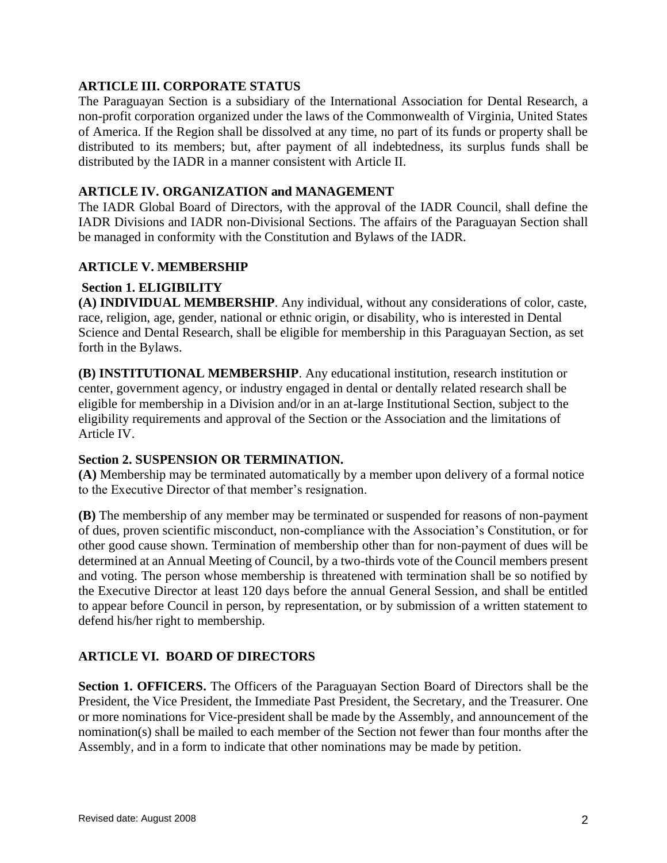### **ARTICLE III. CORPORATE STATUS**

The Paraguayan Section is a subsidiary of the International Association for Dental Research, a non-profit corporation organized under the laws of the Commonwealth of Virginia, United States of America. If the Region shall be dissolved at any time, no part of its funds or property shall be distributed to its members; but, after payment of all indebtedness, its surplus funds shall be distributed by the IADR in a manner consistent with Article II.

### **ARTICLE IV. ORGANIZATION and MANAGEMENT**

The IADR Global Board of Directors, with the approval of the IADR Council, shall define the IADR Divisions and IADR non-Divisional Sections. The affairs of the Paraguayan Section shall be managed in conformity with the Constitution and Bylaws of the IADR.

### **ARTICLE V. MEMBERSHIP**

### **Section 1. ELIGIBILITY**

**(A) INDIVIDUAL MEMBERSHIP**. Any individual, without any considerations of color, caste, race, religion, age, gender, national or ethnic origin, or disability, who is interested in Dental Science and Dental Research, shall be eligible for membership in this Paraguayan Section, as set forth in the Bylaws.

**(B) INSTITUTIONAL MEMBERSHIP**. Any educational institution, research institution or center, government agency, or industry engaged in dental or dentally related research shall be eligible for membership in a Division and/or in an at-large Institutional Section, subject to the eligibility requirements and approval of the Section or the Association and the limitations of Article IV.

### **Section 2. SUSPENSION OR TERMINATION.**

**(A)** Membership may be terminated automatically by a member upon delivery of a formal notice to the Executive Director of that member's resignation.

**(B)** The membership of any member may be terminated or suspended for reasons of non-payment of dues, proven scientific misconduct, non-compliance with the Association's Constitution, or for other good cause shown. Termination of membership other than for non-payment of dues will be determined at an Annual Meeting of Council, by a two-thirds vote of the Council members present and voting. The person whose membership is threatened with termination shall be so notified by the Executive Director at least 120 days before the annual General Session, and shall be entitled to appear before Council in person, by representation, or by submission of a written statement to defend his/her right to membership.

# **ARTICLE VI. BOARD OF DIRECTORS**

**Section 1. OFFICERS.** The Officers of the Paraguayan Section Board of Directors shall be the President, the Vice President, the Immediate Past President, the Secretary, and the Treasurer. One or more nominations for Vice-president shall be made by the Assembly, and announcement of the nomination(s) shall be mailed to each member of the Section not fewer than four months after the Assembly, and in a form to indicate that other nominations may be made by petition.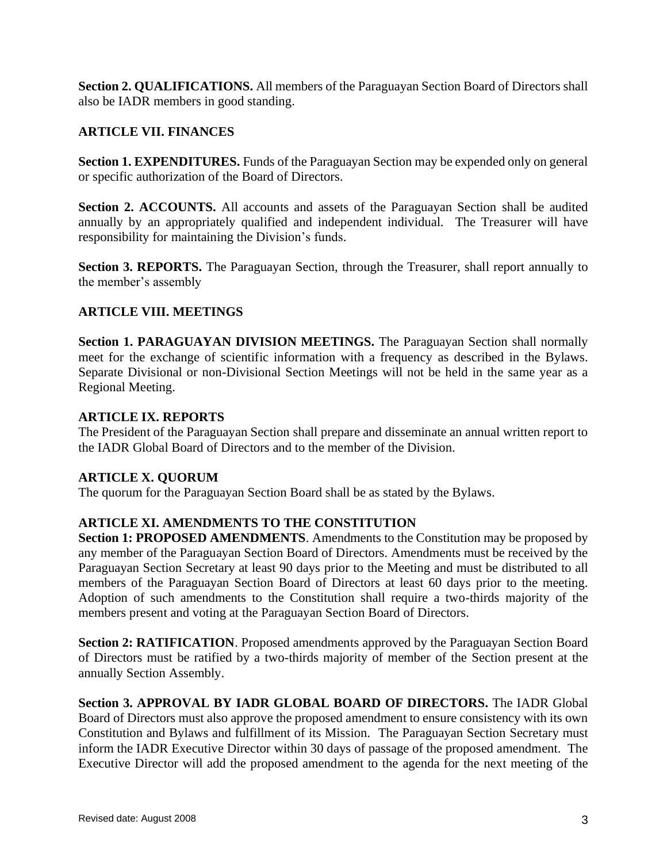**Section 2. QUALIFICATIONS.** All members of the Paraguayan Section Board of Directors shall also be IADR members in good standing.

### **ARTICLE VII. FINANCES**

**Section 1. EXPENDITURES.** Funds of the Paraguayan Section may be expended only on general or specific authorization of the Board of Directors.

**Section 2. ACCOUNTS.** All accounts and assets of the Paraguayan Section shall be audited annually by an appropriately qualified and independent individual. The Treasurer will have responsibility for maintaining the Division's funds.

**Section 3. REPORTS.** The Paraguayan Section, through the Treasurer, shall report annually to the member's assembly

### **ARTICLE VIII. MEETINGS**

**Section 1. PARAGUAYAN DIVISION MEETINGS.** The Paraguayan Section shall normally meet for the exchange of scientific information with a frequency as described in the Bylaws. Separate Divisional or non-Divisional Section Meetings will not be held in the same year as a Regional Meeting.

### **ARTICLE IX. REPORTS**

The President of the Paraguayan Section shall prepare and disseminate an annual written report to the IADR Global Board of Directors and to the member of the Division.

### **ARTICLE X. QUORUM**

The quorum for the Paraguayan Section Board shall be as stated by the Bylaws.

# **ARTICLE XI. AMENDMENTS TO THE CONSTITUTION**

**Section 1: PROPOSED AMENDMENTS**. Amendments to the Constitution may be proposed by any member of the Paraguayan Section Board of Directors. Amendments must be received by the Paraguayan Section Secretary at least 90 days prior to the Meeting and must be distributed to all members of the Paraguayan Section Board of Directors at least 60 days prior to the meeting. Adoption of such amendments to the Constitution shall require a two-thirds majority of the members present and voting at the Paraguayan Section Board of Directors.

**Section 2: RATIFICATION**. Proposed amendments approved by the Paraguayan Section Board of Directors must be ratified by a two-thirds majority of member of the Section present at the annually Section Assembly.

**Section 3. APPROVAL BY IADR GLOBAL BOARD OF DIRECTORS.** The IADR Global Board of Directors must also approve the proposed amendment to ensure consistency with its own Constitution and Bylaws and fulfillment of its Mission. The Paraguayan Section Secretary must inform the IADR Executive Director within 30 days of passage of the proposed amendment. The Executive Director will add the proposed amendment to the agenda for the next meeting of the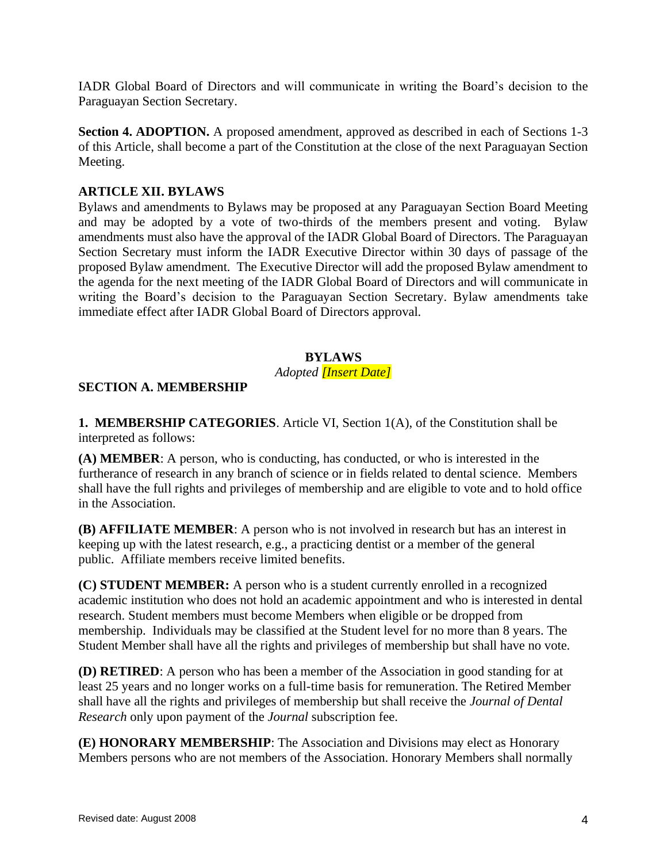IADR Global Board of Directors and will communicate in writing the Board's decision to the Paraguayan Section Secretary.

**Section 4. ADOPTION.** A proposed amendment, approved as described in each of Sections 1-3 of this Article, shall become a part of the Constitution at the close of the next Paraguayan Section Meeting.

# **ARTICLE XII. BYLAWS**

Bylaws and amendments to Bylaws may be proposed at any Paraguayan Section Board Meeting and may be adopted by a vote of two-thirds of the members present and voting. Bylaw amendments must also have the approval of the IADR Global Board of Directors. The Paraguayan Section Secretary must inform the IADR Executive Director within 30 days of passage of the proposed Bylaw amendment. The Executive Director will add the proposed Bylaw amendment to the agenda for the next meeting of the IADR Global Board of Directors and will communicate in writing the Board's decision to the Paraguayan Section Secretary. Bylaw amendments take immediate effect after IADR Global Board of Directors approval.

# **BYLAWS**

### *Adopted [Insert Date]*

### **SECTION A. MEMBERSHIP**

**1. MEMBERSHIP CATEGORIES**. Article VI, Section 1(A), of the Constitution shall be interpreted as follows:

**(A) MEMBER**: A person, who is conducting, has conducted, or who is interested in the furtherance of research in any branch of science or in fields related to dental science. Members shall have the full rights and privileges of membership and are eligible to vote and to hold office in the Association.

**(B) AFFILIATE MEMBER**: A person who is not involved in research but has an interest in keeping up with the latest research, e.g., a practicing dentist or a member of the general public. Affiliate members receive limited benefits.

**(C) STUDENT MEMBER:** A person who is a student currently enrolled in a recognized academic institution who does not hold an academic appointment and who is interested in dental research. Student members must become Members when eligible or be dropped from membership. Individuals may be classified at the Student level for no more than 8 years. The Student Member shall have all the rights and privileges of membership but shall have no vote.

**(D) RETIRED**: A person who has been a member of the Association in good standing for at least 25 years and no longer works on a full-time basis for remuneration. The Retired Member shall have all the rights and privileges of membership but shall receive the *Journal of Dental Research* only upon payment of the *Journal* subscription fee.

**(E) HONORARY MEMBERSHIP**: The Association and Divisions may elect as Honorary Members persons who are not members of the Association. Honorary Members shall normally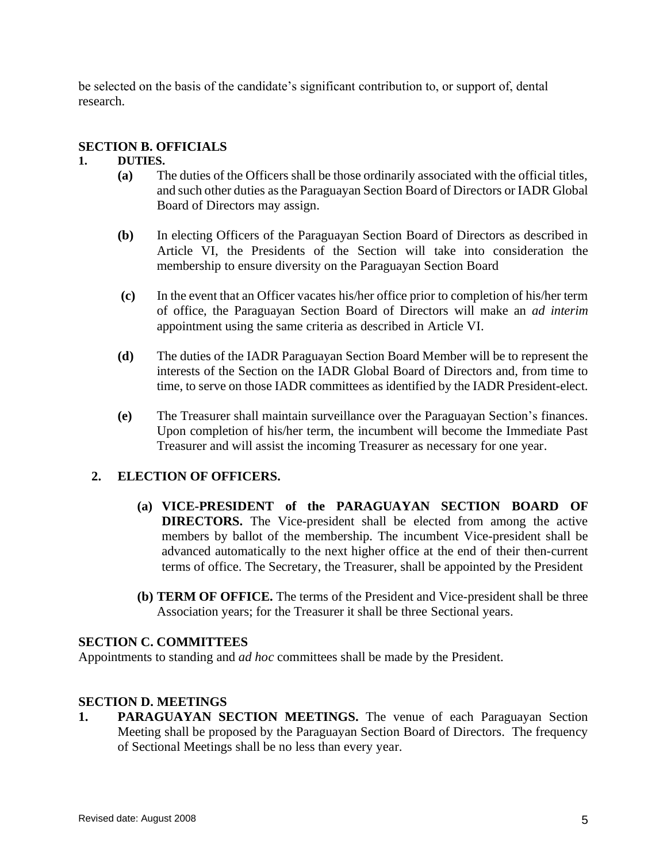be selected on the basis of the candidate's significant contribution to, or support of, dental research.

### **SECTION B. OFFICIALS**

#### **1. DUTIES.**

- **(a)** The duties of the Officers shall be those ordinarily associated with the official titles, and such other duties as the Paraguayan Section Board of Directors or IADR Global Board of Directors may assign.
- **(b)** In electing Officers of the Paraguayan Section Board of Directors as described in Article VI, the Presidents of the Section will take into consideration the membership to ensure diversity on the Paraguayan Section Board
- **(c)** In the event that an Officer vacates his/her office prior to completion of his/her term of office, the Paraguayan Section Board of Directors will make an *ad interim* appointment using the same criteria as described in Article VI.
- **(d)** The duties of the IADR Paraguayan Section Board Member will be to represent the interests of the Section on the IADR Global Board of Directors and, from time to time, to serve on those IADR committees as identified by the IADR President-elect.
- **(e)** The Treasurer shall maintain surveillance over the Paraguayan Section's finances. Upon completion of his/her term, the incumbent will become the Immediate Past Treasurer and will assist the incoming Treasurer as necessary for one year.

### **2. ELECTION OF OFFICERS.**

- **(a) VICE-PRESIDENT of the PARAGUAYAN SECTION BOARD OF DIRECTORS.** The Vice-president shall be elected from among the active members by ballot of the membership. The incumbent Vice-president shall be advanced automatically to the next higher office at the end of their then-current terms of office. The Secretary, the Treasurer, shall be appointed by the President
- **(b) TERM OF OFFICE.** The terms of the President and Vice-president shall be three Association years; for the Treasurer it shall be three Sectional years.

### **SECTION C. COMMITTEES**

Appointments to standing and *ad hoc* committees shall be made by the President.

### **SECTION D. MEETINGS**

**1. PARAGUAYAN SECTION MEETINGS.** The venue of each Paraguayan Section Meeting shall be proposed by the Paraguayan Section Board of Directors. The frequency of Sectional Meetings shall be no less than every year.